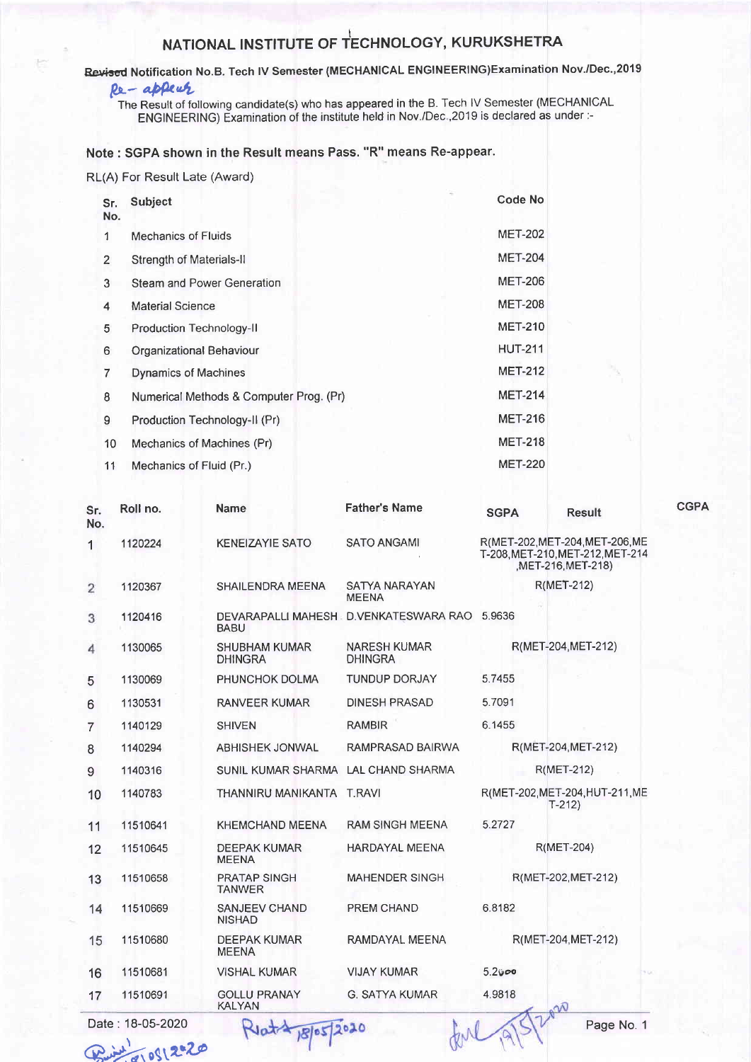## NATIONAL INSTITUTE OF TECHNOLOGY, KURUKSHETRA

## Revised Notification No.B. Tech IV Semester (MECHANICAL ENGINEERING)Examination Nov./Dec.,2019

## Re-appear

The Result of following candidate(s) who has appeared in the B. Tech IV Semester (MECHANICAL<br>ENGINEERING) Examination of the institute held in Nov./Dec., 2019 is declared as under :-

## Note: SGPA shown in the Result means Pass. "R" means Re-appear.

RL(A) For Result Late (Award)

| Sr.<br>No.     | <b>Subject</b>                          | <b>Code No</b> |  |
|----------------|-----------------------------------------|----------------|--|
| 1              | <b>Mechanics of Fluids</b>              | <b>MET-202</b> |  |
| $\overline{2}$ | <b>Strength of Materials-II</b>         | <b>MET-204</b> |  |
| 3              | <b>Steam and Power Generation</b>       | <b>MET-206</b> |  |
| 4              | <b>Material Science</b>                 | <b>MET-208</b> |  |
| 5              | <b>Production Technology-II</b>         | <b>MET-210</b> |  |
| 6              | <b>Organizational Behaviour</b>         | <b>HUT-211</b> |  |
| 7              | <b>Dynamics of Machines</b>             | <b>MET-212</b> |  |
| 8              | Numerical Methods & Computer Prog. (Pr) | <b>MET-214</b> |  |
| 9              | Production Technology-II (Pr)           | <b>MET-216</b> |  |
| 10             | Mechanics of Machines (Pr)              | <b>MET-218</b> |  |
| 11             | Mechanics of Fluid (Pr.)                | <b>MET-220</b> |  |

| Sr.<br>No.     | Roll no.         | <b>Name</b>                            | <b>Father's Name</b>                         | <b>SGPA</b>                                                                           | <b>Result</b>                              | <b>CGPA</b> |
|----------------|------------------|----------------------------------------|----------------------------------------------|---------------------------------------------------------------------------------------|--------------------------------------------|-------------|
| 1.             | 1120224          | <b>KENEIZAYIE SATO</b>                 | <b>SATO ANGAMI</b>                           | R(MET-202, MET-204, MET-206, ME<br>T-208.MET-210.MET-212.MET-214<br>MET-216, MET-218) |                                            |             |
| $\overline{2}$ | 1120367          | <b>SHAILENDRA MEENA</b>                | <b>SATYA NARAYAN</b><br><b>MEENA</b>         |                                                                                       | <b>R(MET-212)</b>                          |             |
| 3              | 1120416          | <b>BABU</b>                            | DEVARAPALLI MAHESH D.VENKATESWARA RAO 5.9636 |                                                                                       |                                            |             |
| 4              | 1130065          | <b>SHUBHAM KUMAR</b><br><b>DHINGRA</b> | <b>NARESH KUMAR</b><br><b>DHINGRA</b>        |                                                                                       | R(MET-204, MET-212)                        |             |
| 5              | 1130069          | PHUNCHOK DOLMA                         | <b>TUNDUP DORJAY</b>                         | 5.7455                                                                                |                                            |             |
| 6              | 1130531          | <b>RANVEER KUMAR</b>                   | <b>DINESH PRASAD</b>                         | 5.7091                                                                                |                                            |             |
| $\overline{7}$ | 1140129          | <b>SHIVEN</b>                          | <b>RAMBIR</b>                                | 6.1455                                                                                |                                            |             |
| 8              | 1140294          | <b>ABHISHEK JONWAL</b>                 | RAMPRASAD BAIRWA                             |                                                                                       | R(MET-204, MET-212)                        |             |
| 9              | 1140316          | SUNIL KUMAR SHARMA LAL CHAND SHARMA    |                                              |                                                                                       | R(MET-212)                                 |             |
| 10             | 1140783          | THANNIRU MANIKANTA T.RAVI              |                                              |                                                                                       | R(MET-202, MET-204, HUT-211, ME<br>$T-212$ |             |
| 11             | 11510641         | <b>KHEMCHAND MEENA</b>                 | <b>RAM SINGH MEENA</b>                       | 5.2727                                                                                |                                            |             |
| 12             | 11510645         | <b>DEEPAK KUMAR</b><br><b>MEENA</b>    | <b>HARDAYAL MEENA</b>                        |                                                                                       | <b>R(MET-204)</b>                          |             |
| 13             | 11510658         | <b>PRATAP SINGH</b><br><b>TANWER</b>   | <b>MAHENDER SINGH</b>                        |                                                                                       | R(MET-202.MET-212)                         |             |
| 14             | 11510669         | <b>SANJEEV CHAND</b><br><b>NISHAD</b>  | PREM CHAND                                   | 6.8182                                                                                |                                            |             |
| 15             | 11510680         | <b>DEEPAK KUMAR</b><br><b>MEENA</b>    | RAMDAYAL MEENA                               |                                                                                       | R(MET-204, MET-212)                        |             |
| 16             | 11510681         | <b>VISHAL KUMAR</b>                    | <b>VIJAY KUMAR</b>                           | 5.2000                                                                                |                                            |             |
| 17             | 11510691         | <b>GOLLU PRANAY</b><br><b>KALYAN</b>   | <b>G. SATYA KUMAR</b>                        | 4.9818                                                                                | nN                                         |             |
|                | Date: 18-05-2020 | $Rl_1 + 2010$                          | $\sqrt{ }$                                   |                                                                                       | Page No. 1                                 |             |

 $18$ 

 $M_{\rm pl}$ 

0512020